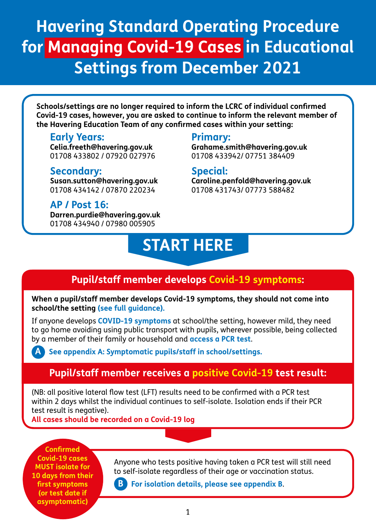# **Havering Standard Operating Procedure for Managing Covid-19 Cases in Educational Settings from December 2021**

**Schools/settings are no longer required to inform the LCRC of individual confirmed Covid-19 cases, however, you are asked to continue to inform the relevant member of the Havering Education Team of any confirmed cases within your setting:**

### **Early Years:**

**Celia.freeth@havering.gov.uk**  01708 433802 / 07920 027976

### **Secondary:**

**Susan.sutton@havering.gov.uk** 01708 434142 / 07870 220234

### **AP / Post 16:**

**Darren.purdie@havering.gov.uk** 01708 434940 / 07980 005905

### **Primary:**

**Grahame.smith@havering.gov.uk** 01708 433942/ 07751 384409

### **Special:**

**Caroline.penfold@havering.gov.uk** 01708 431743/ 07773 588482

# **START HERE**

# **Pupil/staff member develops Covid-19 symptoms:**

**When a pupil/st[aff member develops Co](https://www.nhs.uk/conditions/coronavirus-covid-19/self-isolation-and-treatment/when-to-self-isolate-and-what-to-do/)vid-19 symptoms, they should not come into school/the setting (see full guidance).**

If anyone develops **[COVID-19 symptoms](https://www.nhs.uk/conditions/coronavirus-covid-19/symptoms/)** at school/the setting, however mild, they need to go home avoiding using public transport with pupils, wherever possible, being collected by a member of their family or household and **[access a PCR test](https://www.gov.uk/get-coronavirus-test)**.

 **[See appendix A: Symptomatic pupils/staff in school/settings.](#page-3-0)**

# **Pupil/staff member receives a positive Covid-19 test result:**

(NB: all positive lateral flow test (LFT) results need to be confirmed with a PCR test within 2 days whilst the individual continues to self-isolate. Isolation ends if their PCR test result is negative).

**All cases should be recorded on a Covid-19 log**

**Confirmed Covid-19 cases MUST isolate for 10 days from their first symptoms (or test date if asymptomatic)**

**A**

Anyone who tests positive having taken a PCR test will still need to self-isolate regardless of their age or vaccination status.

 **[For isolation details, please see appendix B](#page-3-0)**. **B**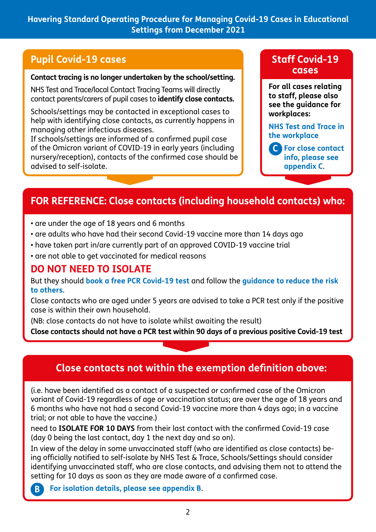### **Havering Standard Operating Procedure for Managing Covid-19 Cases in Educational Settings from December 2021**

### **Pupil Covid-19 cases**

#### **Contact tracing is no longer undertaken by the school/setting.**

NHS Test and Trace/local Contact Tracing Teams will directly contact parents/carers of pupil cases to **identify close contacts.**

Schools/settings may be contacted in exceptional cases to help with identifying close contacts, as currently happens in managing other infectious diseases.

If schools/settings are informed of a confirmed pupil case of the Omicron variant of COVID-19 in early years (including nursery/reception), contacts of the confirmed case should be advised to self-isolate.

### **Staff Covid-19 cases**

**For all cases relating to staff, please also see the guidance for workplaces:**

**[NHS Test and Trace in](https://www.gov.uk/guidance/nhs-test-and-trace-workplace-guidance)  the workplace**

 **[For close contact](#page-4-0)  C info, please see appendix C**.

# **FOR REFERENCE: Close contacts (including household contacts) who:**

- are under the age of 18 years and 6 months
- are adults who have had their second Covid-19 vaccine more than 14 days ago
- have taken part in/are currently part of an approved COVID-19 vaccine trial
- are not able to get vaccinated for medical reasons

### **DO NOT NEED TO ISOLATE**

But they should **[book a free PCR Covid-19 test](https://www.gov.uk/get-coronavirus-test)** and follow the **[guidance to reduce the risk](https://www.gov.uk/guidance/nhs-test-and-trace-how-it-works?priority-taxon=774cee22-d896-44c1-a611-e3109cce8eae#exemptions-from-self-isolation-for-contracts)  [to others.](https://www.gov.uk/guidance/nhs-test-and-trace-how-it-works?priority-taxon=774cee22-d896-44c1-a611-e3109cce8eae#exemptions-from-self-isolation-for-contracts)**

Close contacts who are aged under 5 years are advised to take a PCR test only if the positive case is within their own household.

(NB: close contacts do not have to isolate whilst awaiting the result)

**Close contacts should not have a PCR test within 90 days of a previous positive Covid-19 test**

# **Close contacts not within the exemption definition above:**

(i.e. have been identified as a contact of a suspected or confirmed case of the Omicron variant of Covid-19 regardless of age or vaccination status; are over the age of 18 years and 6 months who have not had a second Covid-19 vaccine more than 4 days ago; in a vaccine trial; or not able to have the vaccine.)

need to **ISOLATE FOR 10 DAYS** from their last contact with the confirmed Covid-19 case (day 0 being the last contact, day 1 the next day and so on).

In view of the delay in some unvaccinated staff (who are identified as close contacts) being officially notified to self-isolate by NHS Test & Trace, Schools/Settings should consider identifying unvaccinated staff, who are close contacts, and advising them not to attend the setting for 10 days as soon as they are made aware of a confirmed case.

**B  [For isolation details, please see appendix B](#page-4-0)**.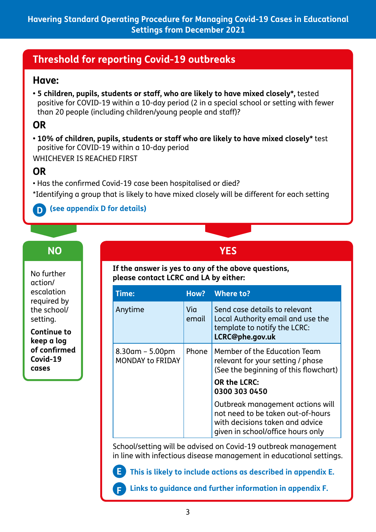# **Threshold for reporting Covid-19 outbreaks**

### **Have:**

**• 5 children, pupils, students or staff, who are likely to have mixed closely\*,** tested positive for COVID-19 within a 10-day period (2 in a special school or setting with fewer than 20 people (including children/young people and staff)?

# **OR**

**• 10% of children, pupils, students or staff who are likely to have mixed closely\*** test positive for COVID-19 within a 10-day period WHICHEVER IS REACHED FIRST

# **OR**

• Has the confirmed Covid-19 case been hospitalised or died?

**E**

**F**

\*Identifying a group that is likely to have mixed closely will be different for each setting

### **D [\(see appendix D for details\)](#page-5-0)**

# **NO YES**

No further action/ escalation required by the school/ setting.

**Continue to keep a log of confirmed Covid-19 cases**

### **If the answer is yes to any of the above questions, please contact LCRC and LA by either:**

| <b>Time:</b>                                  | How?         | Where to?                                                                                                                                     |
|-----------------------------------------------|--------------|-----------------------------------------------------------------------------------------------------------------------------------------------|
| Anytime                                       | Via<br>email | Send case details to relevant<br>Local Authority email and use the<br>template to notify the LCRC:<br>LCRC@phe.gov.uk                         |
| $8.30$ am – 5.00pm<br><b>MONDAY to FRIDAY</b> | Phone        | Member of the Education Team<br>relevant for your setting / phase<br>(See the beginning of this flowchart)                                    |
|                                               |              | <b>OR the LCRC:</b><br>0300 303 0450                                                                                                          |
|                                               |              | Outbreak management actions will<br>not need to be taken out-of-hours<br>with decisions taken and advice<br>given in school/office hours only |

School/setting will be advised on Covid-19 outbreak management in line with infectious disease management in educational settings.

 **[This is likely to include actions as described in appendix E.](#page-6-0)**

 **[Links to guidance and further information in appendix F.](#page-7-0)**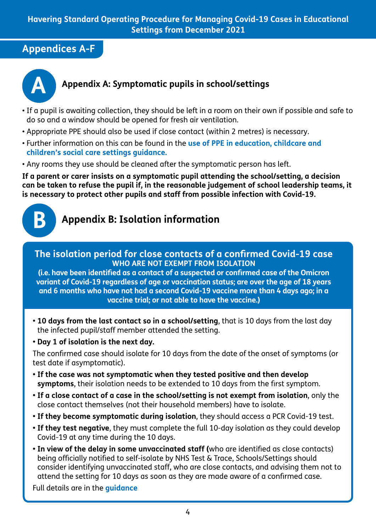# <span id="page-3-0"></span>**Appendices A-F**



### **A Appendix A: Symptomatic pupils in school/settings**

- If a pupil is awaiting collection, they should be left in a room on their own if possible and safe to do so and a window should be opened for fresh air ventilation.
- Appropriate PPE should also be used if close contact (within 2 metres) is necessary.
- [Further information on this can be found in the](https://www.gov.uk/government/publications/safe-working-in-education-childcare-and-childrens-social-care) **use of PPE in education, childcare and children's social care settings guidance.**
- Any rooms they use should be cleaned after the symptomatic person has left.

**If a parent or carer insists on a symptomatic pupil attending the school/setting, a decision can be taken to refuse the pupil if, in the reasonable judgement of school leadership teams, it is necessary to protect other pupils and staff from possible infection with Covid-19.**



# **B Appendix B: Isolation information**

### **The isolation period for close contacts of a confirmed Covid-19 case WHO ARE NOT EXEMPT FROM ISOLATION**

**(i.e. have been identified as a contact of a suspected or confirmed case of the Omicron variant of Covid-19 regardless of age or vaccination status; are over the age of 18 years and 6 months who have not had a second Covid-19 vaccine more than 4 days ago; in a vaccine trial; or not able to have the vaccine.)** 

**• 10 days from the last contact so in a school/setting**, that is 10 days from the last day the infected pupil/staff member attended the setting.

**• Day 1 of isolation is the next day.** 

The confirmed case should isolate for 10 days from the date of the onset of symptoms (or test date if asymptomatic).

- **If the case was not symptomatic when they tested positive and then develop symptoms**, their isolation needs to be extended to 10 days from the first symptom.
- **If a close contact of a case in the school/setting is not exempt from isolation**, only the close contact themselves (not their household members) have to isolate.
- **If they become symptomatic during isolation**, they should access a PCR Covid-19 test.
- **If they test negative**, they must complete the full 10-day isolation as they could develop Covid-19 at any time during the 10 days.
- **In view of the delay in some unvaccinated staff (**who are identified as close contacts) being officially notified to self-isolate by NHS Test & Trace, Schools/Settings should consider identifying unvaccinated staff, who are close contacts, and advising them not to attend the setting for 10 days as soon as they are made aware of a confirmed case.

Full details are in the **[guidance](https://www.gov.uk/guidance/nhs-test-and-trace-how-it-works?priority-taxon=774cee22-d896-44c1-a611-e3109cce8eae)**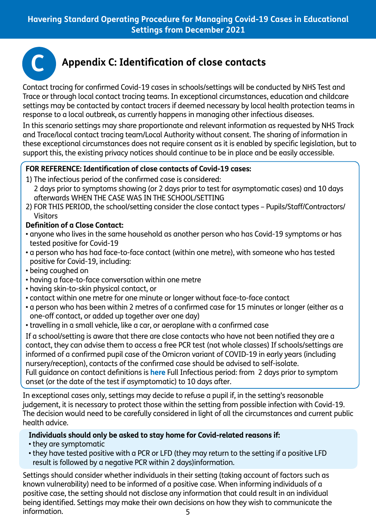<span id="page-4-0"></span>

# **C Appendix C: Identification of close contacts**

Contact tracing for confirmed Covid-19 cases in schools/settings will be conducted by NHS Test and Trace or through local contact tracing teams. In exceptional circumstances, education and childcare settings may be contacted by contact tracers if deemed necessary by local health protection teams in response to a local outbreak, as currently happens in managing other infectious diseases.

In this scenario settings may share proportionate and relevant information as requested by NHS Track and Trace/local contact tracing team/Local Authority without consent. The sharing of information in these exceptional circumstances does not require consent as it is enabled by specific legislation, but to support this, the existing privacy notices should continue to be in place and be easily accessible.

### **FOR REFERENCE: Identification of close contacts of Covid-19 cases:**

- 1) The infectious period of the confirmed case is considered:
- 2 days prior to symptoms showing (or 2 days prior to test for asymptomatic cases) and 10 days afterwards WHEN THE CASE WAS IN THE SCHOOL/SETTING
- 2) FOR THIS PERIOD, the school/setting consider the close contact types Pupils/Staff/Contractors/ Visitors

### **Definition of a Close Contact:**

- anyone who lives in the same household as another person who has Covid-19 symptoms or has tested positive for Covid-19
- a person who has had face-to-face contact (within one metre), with someone who has tested positive for Covid-19, including:
- being coughed on
- having a face-to-face conversation within one metre
- having skin-to-skin physical contact, or
- contact within one metre for one minute or longer without face-to-face contact
- a person who has been within 2 metres of a confirmed case for 15 minutes or longer (either as a one-off contact, or added up together over one day)
- travelling in a small vehicle, like a car, or aeroplane with a confirmed case

If a school/setting is aware that there are close contacts who have not been notified they are a contact, they can advise them to access a free PCR test (not whole classes) If schools/settings are informed of a confirmed pupil case of the Omicron variant of COVID-19 in early years (including nursery/reception), contacts of the c[onfirmed](https://www.gov.uk/government/publications/guidance-for-contacts-of-people-with-possible-or-confirmed-coronavirus-covid-19-infection-who-do-not-live-with-the-person/guidance-for-contacts-of-people-with-possible-or-confirmed-coronavirus-covid-19-infection-who-do-not-live-with-the-person#what-do-we-mean-by-a-contact) case should be advised to self-isolate. Full guidance on contact definitions is **here** Full Infectious period: from 2 days prior to symptom onset (or the date of the test if asymptomatic) to 10 days after.

In exceptional cases only, settings may decide to refuse a pupil if, in the setting's reasonable judgement, it is necessary to protect those within the setting from possible infection with Covid-19. The decision would need to be carefully considered in light of all the circumstances and current public health advice.

### **Individuals should only be asked to stay home for Covid-related reasons if:**

- they are symptomatic
- they have tested positive with a PCR or LFD (they may return to the setting if a positive LFD result is followed by a negative PCR within 2 days)information.

5 Settings should consider whether individuals in their setting (taking account of factors such as known vulnerability) need to be informed of a positive case. When informing individuals of a positive case, the setting should not disclose any information that could result in an individual being identified. Settings may make their own decisions on how they wish to communicate the information.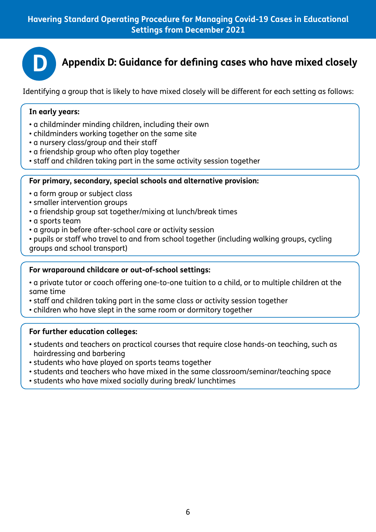<span id="page-5-0"></span>

**D Appendix D: Guidance for defining cases who have mixed closely**

Identifying a group that is likely to have mixed closely will be different for each setting as follows:

#### **In early years:**

- a childminder minding children, including their own
- childminders working together on the same site
- a nursery class/group and their staff
- a friendship group who often play together
- staff and children taking part in the same activity session together

#### **For primary, secondary, special schools and alternative provision:**

- a form group or subject class
- smaller intervention groups
- a friendship group sat together/mixing at lunch/break times
- a sports team
- a group in before after-school care or activity session
- pupils or staff who travel to and from school together (including walking groups, cycling groups and school transport)

#### **For wraparound childcare or out-of-school settings:**

- a private tutor or coach offering one-to-one tuition to a child, or to multiple children at the same time
- staff and children taking part in the same class or activity session together
- children who have slept in the same room or dormitory together

#### **For further education colleges:**

- students and teachers on practical courses that require close hands-on teaching, such as hairdressing and barbering
- students who have played on sports teams together
- students and teachers who have mixed in the same classroom/seminar/teaching space
- students who have mixed socially during break/ lunchtimes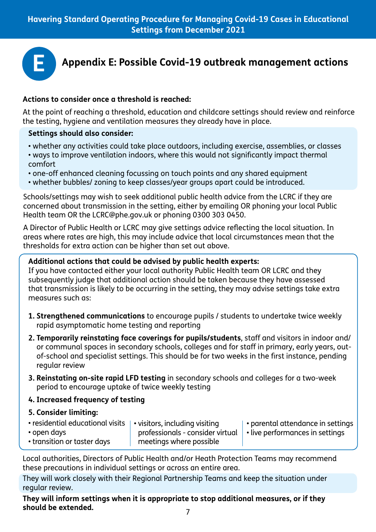<span id="page-6-0"></span>

#### **Actions to consider once a threshold is reached:**

At the point of reaching a threshold, education and childcare settings should review and reinforce the testing, hygiene and ventilation measures they already have in place.

#### **Settings should also consider:**

- whether any activities could take place outdoors, including exercise, assemblies, or classes
- ways to improve ventilation indoors, where this would not significantly impact thermal comfort
- one-off enhanced cleaning focussing on touch points and any shared equipment
- whether bubbles/ zoning to keep classes/year groups apart could be introduced.

Schools/settings may wish to seek additional public health advice from the LCRC if they are concerned about transmission in the setting, either by emailing OR phoning your local Public Health team OR the LCRC@phe.gov.uk or phoning 0300 303 0450.

A Director of Public Health or LCRC may give settings advice reflecting the local situation. In areas where rates are high, this may include advice that local circumstances mean that the thresholds for extra action can be higher than set out above.

#### **Additional actions that could be advised by public health experts:**

If you have contacted either your local authority Public Health team OR LCRC and they subsequently judge that additional action should be taken because they have assessed that transmission is likely to be occurring in the setting, they may advise settings take extra measures such as:

- **1. Strengthened communications** to encourage pupils / students to undertake twice weekly rapid asymptomatic home testing and reporting
- **2. Temporarily reinstating face coverings for pupils/students**, staff and visitors in indoor and/ or communal spaces in secondary schools, colleges and for staff in primary, early years, outof-school and specialist settings. This should be for two weeks in the first instance, pending regular review
- **3. Reinstating on-site rapid LFD testing** in secondary schools and colleges for a two-week period to encourage uptake of twice weekly testing

### **4. Increased frequency of testing**

#### **5. Consider limiting:**

| • residential educational visits   • visitors, including visiting |                                                                            | $\vert \cdot \vert$ parental attendance in settings |
|-------------------------------------------------------------------|----------------------------------------------------------------------------|-----------------------------------------------------|
| • open days                                                       | professionals - consider virtual $\ \cdot\ $ vive performances in settings |                                                     |
| • transition or taster days                                       | meetings where possible                                                    |                                                     |

Local authorities, Directors of Public Health and/or Heath Protection Teams may recommend these precautions in individual settings or across an entire area.

They will work closely with their Regional Partnership Teams and keep the situation under regular review.

**They will inform settings when it is appropriate to stop additional measures, or if they should be extended.**